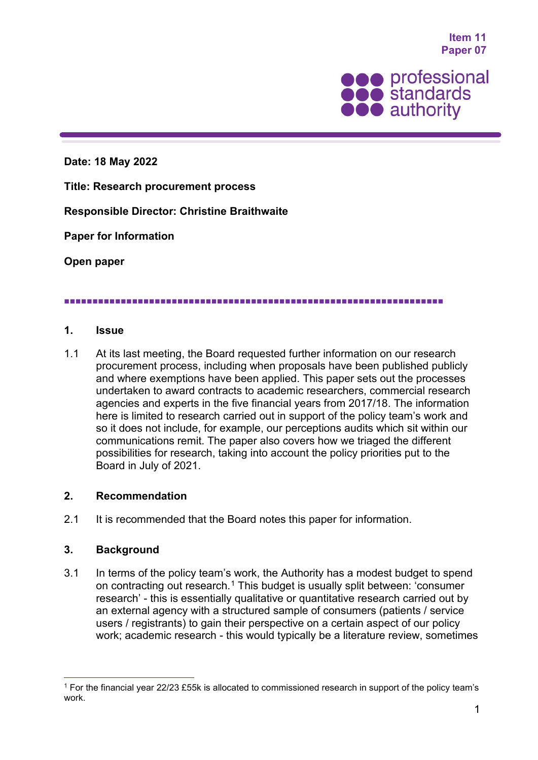**Item 11 Paper 07**



**Date: 18 May 2022**

**Title: Research procurement process**

**Responsible Director: Christine Braithwaite**

**Paper for Information**

**Open paper**

#### 

#### **1. Issue**

1.1 At its last meeting, the Board requested further information on our research procurement process, including when proposals have been published publicly and where exemptions have been applied. This paper sets out the processes undertaken to award contracts to academic researchers, commercial research agencies and experts in the five financial years from 2017/18. The information here is limited to research carried out in support of the policy team's work and so it does not include, for example, our perceptions audits which sit within our communications remit. The paper also covers how we triaged the different possibilities for research, taking into account the policy priorities put to the Board in July of 2021.

### **2. Recommendation**

2.1 It is recommended that the Board notes this paper for information.

### **3. Background**

3.1 In terms of the policy team's work, the Authority has a modest budget to spend on contracting out research.[1](#page-0-0) This budget is usually split between: 'consumer research' - this is essentially qualitative or quantitative research carried out by an external agency with a structured sample of consumers (patients / service users / registrants) to gain their perspective on a certain aspect of our policy work; academic research - this would typically be a literature review, sometimes

<span id="page-0-0"></span><sup>1</sup> For the financial year 22/23 £55k is allocated to commissioned research in support of the policy team's work.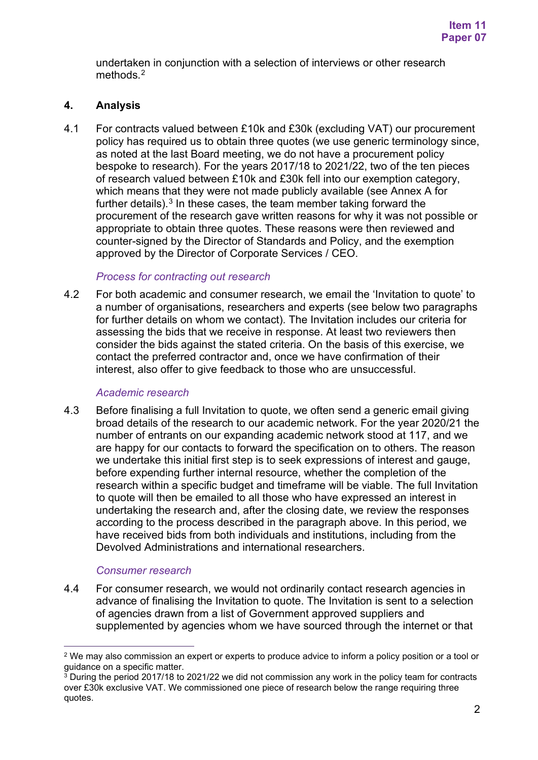undertaken in conjunction with a selection of interviews or other research methods.<sup>[2](#page-1-0)</sup>

# **4. Analysis**

4.1 For contracts valued between £10k and £30k (excluding VAT) our procurement policy has required us to obtain three quotes (we use generic terminology since, as noted at the last Board meeting, we do not have a procurement policy bespoke to research). For the years 2017/18 to 2021/22, two of the ten pieces of research valued between £10k and £30k fell into our exemption category, which means that they were not made publicly available (see Annex A for further details). $^3$  $^3$  In these cases, the team member taking forward the procurement of the research gave written reasons for why it was not possible or appropriate to obtain three quotes. These reasons were then reviewed and counter-signed by the Director of Standards and Policy, and the exemption approved by the Director of Corporate Services / CEO.

### *Process for contracting out research*

4.2 For both academic and consumer research, we email the 'Invitation to quote' to a number of organisations, researchers and experts (see below two paragraphs for further details on whom we contact). The Invitation includes our criteria for assessing the bids that we receive in response. At least two reviewers then consider the bids against the stated criteria. On the basis of this exercise, we contact the preferred contractor and, once we have confirmation of their interest, also offer to give feedback to those who are unsuccessful.

### *Academic research*

4.3 Before finalising a full Invitation to quote, we often send a generic email giving broad details of the research to our academic network. For the year 2020/21 the number of entrants on our expanding academic network stood at 117, and we are happy for our contacts to forward the specification on to others. The reason we undertake this initial first step is to seek expressions of interest and gauge, before expending further internal resource, whether the completion of the research within a specific budget and timeframe will be viable. The full Invitation to quote will then be emailed to all those who have expressed an interest in undertaking the research and, after the closing date, we review the responses according to the process described in the paragraph above. In this period, we have received bids from both individuals and institutions, including from the Devolved Administrations and international researchers.

# *Consumer research*

4.4 For consumer research, we would not ordinarily contact research agencies in advance of finalising the Invitation to quote. The Invitation is sent to a selection of agencies drawn from a list of Government approved suppliers and supplemented by agencies whom we have sourced through the internet or that

<span id="page-1-0"></span><sup>2</sup> We may also commission an expert or experts to produce advice to inform a policy position or a tool or guidance on a specific matter.

<span id="page-1-1"></span> $\frac{3}{3}$  During the period 2017/18 to 2021/22 we did not commission any work in the policy team for contracts over £30k exclusive VAT. We commissioned one piece of research below the range requiring three quotes.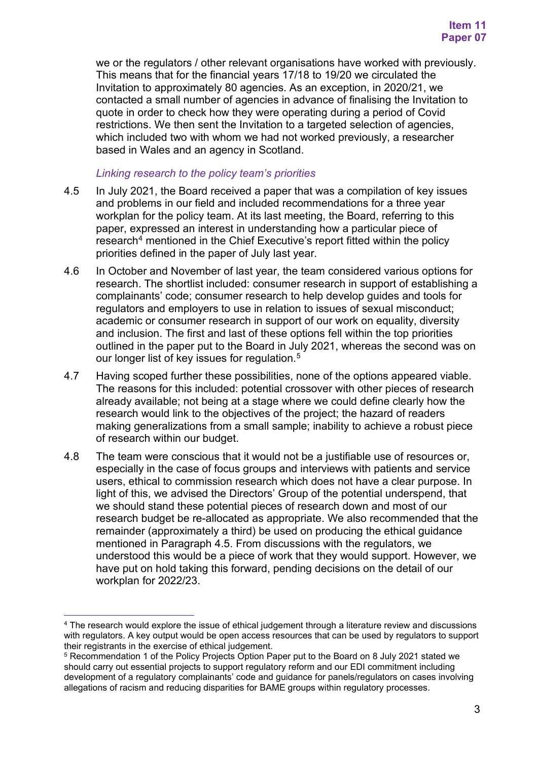we or the regulators / other relevant organisations have worked with previously. This means that for the financial years 17/18 to 19/20 we circulated the Invitation to approximately 80 agencies. As an exception, in 2020/21, we contacted a small number of agencies in advance of finalising the Invitation to quote in order to check how they were operating during a period of Covid restrictions. We then sent the Invitation to a targeted selection of agencies, which included two with whom we had not worked previously, a researcher based in Wales and an agency in Scotland.

### *Linking research to the policy team's priorities*

- 4.5 In July 2021, the Board received a paper that was a compilation of key issues and problems in our field and included recommendations for a three year workplan for the policy team. At its last meeting, the Board, referring to this paper, expressed an interest in understanding how a particular piece of research<sup>4</sup> mentioned in the Chief Executive's report fitted within the policy priorities defined in the paper of July last year.
- 4.6 In October and November of last year, the team considered various options for research. The shortlist included: consumer research in support of establishing a complainants' code; consumer research to help develop guides and tools for regulators and employers to use in relation to issues of sexual misconduct; academic or consumer research in support of our work on equality, diversity and inclusion. The first and last of these options fell within the top priorities outlined in the paper put to the Board in July 2021, whereas the second was on our longer list of key issues for regulation. [5](#page-2-1)
- 4.7 Having scoped further these possibilities, none of the options appeared viable. The reasons for this included: potential crossover with other pieces of research already available; not being at a stage where we could define clearly how the research would link to the objectives of the project; the hazard of readers making generalizations from a small sample; inability to achieve a robust piece of research within our budget.
- 4.8 The team were conscious that it would not be a justifiable use of resources or, especially in the case of focus groups and interviews with patients and service users, ethical to commission research which does not have a clear purpose. In light of this, we advised the Directors' Group of the potential underspend, that we should stand these potential pieces of research down and most of our research budget be re-allocated as appropriate. We also recommended that the remainder (approximately a third) be used on producing the ethical guidance mentioned in Paragraph 4.5. From discussions with the regulators, we understood this would be a piece of work that they would support. However, we have put on hold taking this forward, pending decisions on the detail of our workplan for 2022/23.

<span id="page-2-0"></span><sup>4</sup> The research would explore the issue of ethical judgement through a literature review and discussions with regulators. A key output would be open access resources that can be used by regulators to support their registrants in the exercise of ethical judgement.

<span id="page-2-1"></span><sup>5</sup> Recommendation 1 of the Policy Projects Option Paper put to the Board on 8 July 2021 stated we should carry out essential projects to support regulatory reform and our EDI commitment including development of a regulatory complainants' code and guidance for panels/regulators on cases involving allegations of racism and reducing disparities for BAME groups within regulatory processes.